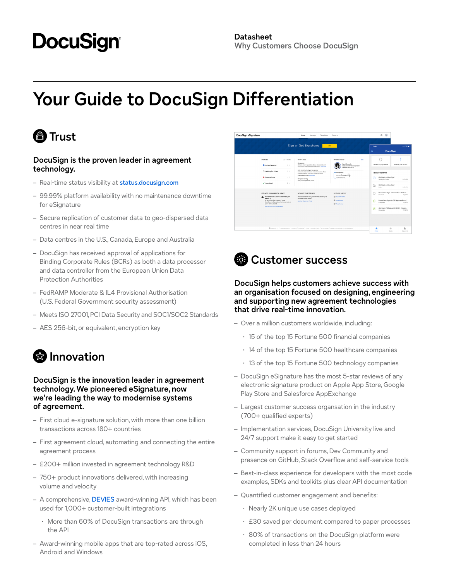# **DocuSign**

## **Your Guide to DocuSign Differentiation**

### **<sup><sup>***m***</sup>** Trust</sup>

#### **DocuSign is the proven leader in agreement technology.**

- Real-time status visibility at [status.docusign.com](http://status.docusign.com)
- 99.99% platform availability with no maintenance downtime for eSignature
- Secure replication of customer data to geo-dispersed data centres in near real time
- Data centres in the U.S., Canada, Europe and Australia
- DocuSign has received approval of applications for Binding Corporate Rules (BCRs) as both a data processor and data controller from the European Union Data Protection Authorities
- FedRAMP Moderate & IL4 Provisional Authorisation (U.S. Federal Government security assessment)
- Meets ISO 27001, PCI Data Security and SOC1/SOC2 Standards
- AES 256-bit, or equivalent, encryption key

### $\bigcirc$  Innovation

#### **DocuSign is the innovation leader in agreement technology. We pioneered eSignature, now we're leading the way to modernise systems of agreement.**

- First cloud e-signature solution, with more than one billion transactions across 180+ countries
- First agreement cloud, automating and connecting the entire agreement process
- £200+ million invested in agreement technology R&D
- 750+ product innovations delivered, with increasing volume and velocity
- A comprehensive, [DEVIES](https://www.docusign.com/blog/docusign-wins-best-innovation-in-api-services) award-winning API, which has been used for 1,000+ customer-built integrations
	- · More than 60% of DocuSign transactions are through the API
- Award-winning mobile apps that are top-rated across iOS, Android and Windows





#### **DocuSign helps customers achieve success with an organisation focused on designing, engineering and supporting new agreement technologies that drive real-time innovation.**

- Over a million customers worldwide, including:
	- · 15 of the top 15 Fortune 500 financial companies
	- · 14 of the top 15 Fortune 500 healthcare companies
	- · 13 of the top 15 Fortune 500 technology companies
- DocuSign eSignature has the most 5-star reviews of any electronic signature product on Apple App Store, Google Play Store and Salesforce AppExchange
- Largest customer success organsation in the industry (700+ qualified experts)
- Implementation services, DocuSign University live and 24/7 support make it easy to get started
- Community support in forums, Dev Community and presence on GitHub, Stack Overflow and self-service tools
- Best-in-class experience for developers with the most code examples, SDKs and toolkits plus clear API documentation
- Quantified customer engagement and benefits:
	- · Nearly 2K unique use cases deployed
	- · £30 saved per document compared to paper processes
	- · 80% of transactions on the DocuSign platform were completed in less than 24 hours